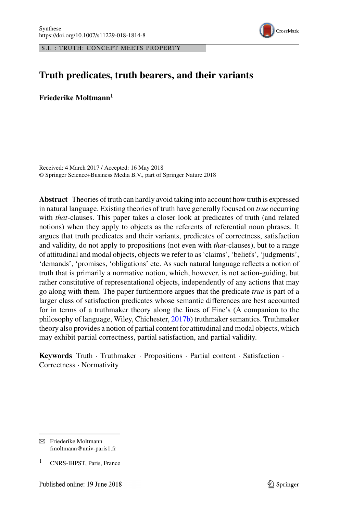

S.I. : TRUTH: CONCEPT MEETS PROPERTY

# **Truth predicates, truth bearers, and their variants**

**Friederike Moltmann<sup>1</sup>**

Received: 4 March 2017 / Accepted: 16 May 2018 © Springer Science+Business Media B.V., part of Springer Nature 2018

**Abstract** Theories of truth can hardly avoid taking into account how truth is expressed in natural language. Existing theories of truth have generally focused on *true* occurring with *that*-clauses. This paper takes a closer look at predicates of truth (and related notions) when they apply to objects as the referents of referential noun phrases. It argues that truth predicates and their variants, predicates of correctness, satisfaction and validity, do not apply to propositions (not even with *that*-clauses), but to a range of attitudinal and modal objects, objects we refer to as 'claims', 'beliefs', 'judgments', 'demands', 'promises, 'obligations' etc. As such natural language reflects a notion of truth that is primarily a normative notion, which, however, is not action-guiding, but rather constitutive of representational objects, independently of any actions that may go along with them. The paper furthermore argues that the predicate *true* is part of a larger class of satisfaction predicates whose semantic differences are best accounted for in terms of a truthmaker theory along the lines of Fine's (A companion to the philosophy of language, Wiley, Chichester, [2017b\)](#page-26-0) truthmaker semantics. Truthmaker theory also provides a notion of partial content for attitudinal and modal objects, which may exhibit partial correctness, partial satisfaction, and partial validity.

**Keywords** Truth · Truthmaker · Propositions · Partial content · Satisfaction · Correctness · Normativity

 $\boxtimes$  Friederike Moltmann fmoltmann@univ-paris1.fr

<sup>1</sup> CNRS-IHPST, Paris, France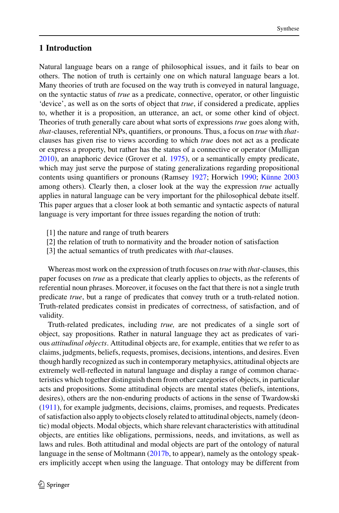# <span id="page-1-0"></span>**1 Introduction**

Natural language bears on a range of philosophical issues, and it fails to bear on others. The notion of truth is certainly one on which natural language bears a lot. Many theories of truth are focused on the way truth is conveyed in natural language, on the syntactic status of *true* as a predicate, connective, operator, or other linguistic 'device', as well as on the sorts of object that *true*, if considered a predicate, applies to, whether it is a proposition, an utterance, an act, or some other kind of object. Theories of truth generally care about what sorts of expressions *true* goes along with, *that*-clauses, referential NPs, quantifiers, or pronouns. Thus, a focus on *true* with *that*clauses has given rise to views according to which *true* does not act as a predicate or express a property, but rather has the status of a connective or operator (Mulligan [2010\)](#page-27-0), an anaphoric device (Grover et al. [1975\)](#page-27-1), or a semantically empty predicate, which may just serve the purpose of stating generalizations regarding propositional contents using quantifiers or pronouns (Ramsey [1927;](#page-27-2) Horwich [1990;](#page-27-3) [Künne 2003](#page-27-4) among others). Clearly then, a closer look at the way the expression *true* actually applies in natural language can be very important for the philosophical debate itself. This paper argues that a closer look at both semantic and syntactic aspects of natural language is very important for three issues regarding the notion of truth:

- [1] the nature and range of truth bearers
- [2] the relation of truth to normativity and the broader notion of satisfaction
- [3] the actual semantics of truth predicates with *that*-clauses.

Whereas most work on the expression of truth focuses on *true* with *that*-clauses, this paper focuses on *true* as a predicate that clearly applies to objects, as the referents of referential noun phrases. Moreover, it focuses on the fact that there is not a single truth predicate *true*, but a range of predicates that convey truth or a truth-related notion. Truth-related predicates consist in predicates of correctness, of satisfaction, and of validity.

Truth-related predicates, including *true,* are not predicates of a single sort of object, say propositions. Rather in natural language they act as predicates of various *attitudinal objects*. Attitudinal objects are, for example, entities that we refer to as claims, judgments, beliefs, requests, promises, decisions, intentions, and desires. Even though hardly recognized as such in contemporary metaphysics, attitudinal objects are extremely well-reflected in natural language and display a range of common characteristics which together distinguish them from other categories of objects, in particular acts and propositions. Some attitudinal objects are mental states (beliefs, intentions, desires), others are the non-enduring products of actions in the sense of Twardowski [\(1911\)](#page-27-5), for example judgments, decisions, claims, promises, and requests. Predicates of satisfaction also apply to objects closely related to attitudinal objects, namely (deontic) modal objects. Modal objects, which share relevant characteristics with attitudinal objects, are entities like obligations, permissions, needs, and invitations, as well as laws and rules. Both attitudinal and modal objects are part of the ontology of natural language in the sense of Moltmann [\(2017b,](#page-27-6) to appear), namely as the ontology speakers implicitly accept when using the language. That ontology may be different from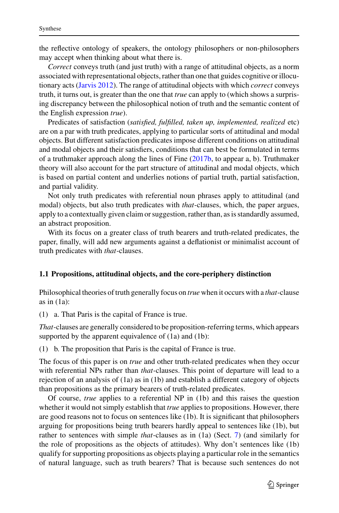the reflective ontology of speakers, the ontology philosophers or non-philosophers may accept when thinking about what there is.

*Correct* conveys truth (and just truth) with a range of attitudinal objects, as a norm associated with representational objects, rather than one that guides cognitive or illocutionary acts [\(Jarvis 2012\)](#page-27-7). The range of attitudinal objects with which *correct* conveys truth, it turns out, is greater than the one that *true* can apply to (which shows a surprising discrepancy between the philosophical notion of truth and the semantic content of the English expression *true*).

Predicates of satisfaction (*satisfied, fulfilled, taken up, implemented, realized* etc) are on a par with truth predicates, applying to particular sorts of attitudinal and modal objects. But different satisfaction predicates impose different conditions on attitudinal and modal objects and their satisfiers, conditions that can best be formulated in terms of a truthmaker approach along the lines of Fine [\(2017b,](#page-26-0) to appear a, b). Truthmaker theory will also account for the part structure of attitudinal and modal objects, which is based on partial content and underlies notions of partial truth, partial satisfaction, and partial validity.

Not only truth predicates with referential noun phrases apply to attitudinal (and modal) objects, but also truth predicates with *that*-clauses, which, the paper argues, apply to a contextually given claim or suggestion, rather than, as is standardly assumed, an abstract proposition.

With its focus on a greater class of truth bearers and truth-related predicates, the paper, finally, will add new arguments against a deflationist or minimalist account of truth predicates with *that*-clauses.

#### **1.1 Propositions, attitudinal objects, and the core-periphery distinction**

Philosophical theories of truth generally focus on *true* when it occurs with a *that*-clause as in  $(1a)$ :

(1) a. That Paris is the capital of France is true.

*That*-clauses are generally considered to be proposition-referring terms, which appears supported by the apparent equivalence of (1a) and (1b):

(1) b. The proposition that Paris is the capital of France is true.

The focus of this paper is on *true* and other truth-related predicates when they occur with referential NPs rather than *that*-clauses. This point of departure will lead to a rejection of an analysis of (1a) as in (1b) and establish a different category of objects than propositions as the primary bearers of truth-related predicates.

Of course, *true* applies to a referential NP in (1b) and this raises the question whether it would not simply establish that *true* applies to propositions. However, there are good reasons not to focus on sentences like (1b). It is significant that philosophers arguing for propositions being truth bearers hardly appeal to sentences like (1b), but rather to sentences with simple *that*-clauses as in (1a) (Sect. [7\)](#page-25-0) (and similarly for the role of propositions as the objects of attitudes). Why don't sentences like (1b) qualify for supporting propositions as objects playing a particular role in the semantics of natural language, such as truth bearers? That is because such sentences do not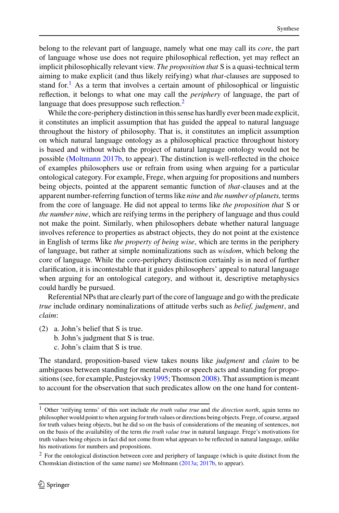belong to the relevant part of language, namely what one may call its *core*, the part of language whose use does not require philosophical reflection, yet may reflect an implicit philosophically relevant view. *The proposition that* S is a quasi-technical term aiming to make explicit (and thus likely reifying) what *that*-clauses are supposed to stand for.<sup>[1](#page-3-0)</sup> As a term that involves a certain amount of philosophical or linguistic reflection, it belongs to what one may call the *periphery* of language, the part of language that does presuppose such reflection.<sup>[2](#page-3-1)</sup>

While the core-periphery distinction in this sense has hardly ever been made explicit, it constitutes an implicit assumption that has guided the appeal to natural language throughout the history of philosophy. That is, it constitutes an implicit assumption on which natural language ontology as a philosophical practice throughout history is based and without which the project of natural language ontology would not be possible [\(Moltmann 2017b,](#page-27-6) to appear). The distinction is well-reflected in the choice of examples philosophers use or refrain from using when arguing for a particular ontological category. For example, Frege, when arguing for propositions and numbers being objects, pointed at the apparent semantic function of *that*-clauses and at the apparent number-referring function of terms like *nine* and *the number of planets,* terms from the core of language. He did not appeal to terms like *the proposition that* S or *the number nine*, which are reifying terms in the periphery of language and thus could not make the point. Similarly, when philosophers debate whether natural language involves reference to properties as abstract objects, they do not point at the existence in English of terms like *the property of being wise*, which are terms in the periphery of language, but rather at simple nominalizations such as *wisdom*, which belong the core of language. While the core-periphery distinction certainly is in need of further clarification, it is incontestable that it guides philosophers' appeal to natural language when arguing for an ontological category, and without it, descriptive metaphysics could hardly be pursued.

Referential NPs that are clearly part of the core of language and go with the predicate *true* include ordinary nominalizations of attitude verbs such as *belief, judgment*, and *claim*:

- (2) a. John's belief that S is true.
	- b. John's judgment that S is true.
	- c. John's claim that S is true.

The standard, proposition-based view takes nouns like *judgment* and *claim* to be ambiguous between standing for mental events or speech acts and standing for propositions (see, for example, Pustejovsky [1995;](#page-27-8) Thomson [2008\)](#page-27-9). That assumption is meant to account for the observation that such predicates allow on the one hand for content-

<span id="page-3-0"></span><sup>1</sup> Other 'reifying terms' of this sort include *the truth value true* and *the direction north*, again terms no philosopher would point to when arguing for truth values or directions being objects. Frege, of course, argued for truth values being objects, but he did so on the basis of considerations of the meaning of sentences, not on the basis of the availability of the term *the truth value true* in natural language. Frege's motivations for truth values being objects in fact did not come from what appears to be reflected in natural language, unlike his motivations for numbers and propositions.

<span id="page-3-1"></span> $2\degree$  For the ontological distinction between core and periphery of language (which is quite distinct from the Chomskian distinction of the same name) see Moltmann [\(2013a;](#page-27-10) [2017b,](#page-27-6) to appear).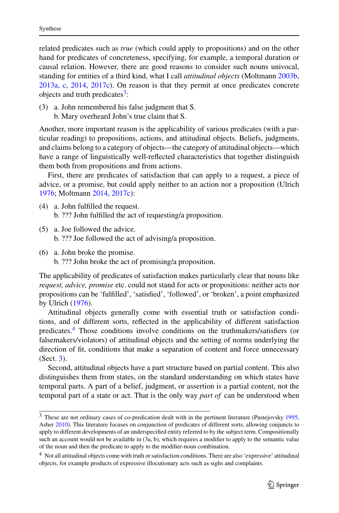related predicates such as *true* (which could apply to propositions) and on the other hand for predicates of concreteness, specifying, for example, a temporal duration or causal relation. However, there are good reasons to consider such nouns univocal, standing for entities of a third kind, what I call *attitudinal objects* (Moltmann [2003b,](#page-27-11) [2013a,](#page-27-10) [c,](#page-27-12) [2014,](#page-27-13) [2017c\)](#page-27-14). On reason is that they permit at once predicates concrete objects and truth predicates $3$ :

(3) a. John remembered his false judgment that S. b. Mary overheard John's true claim that S.

Another, more important reason is the applicability of various predicates (with a particular reading) to propositions, actions, and attitudinal objects. Beliefs, judgments, and claims belong to a category of objects—the category of attitudinal objects—which have a range of linguistically well-reflected characteristics that together distinguish them both from propositions and from actions.

First, there are predicates of satisfaction that can apply to a request, a piece of advice, or a promise, but could apply neither to an action nor a proposition (Ulrich [1976;](#page-27-15) Moltmann [2014,](#page-27-13) [2017c\)](#page-27-14):

- (4) a. John fulfilled the request. b. ??? John fulfilled the act of requesting/a proposition.
- (5) a. Joe followed the advice. b. ??? Joe followed the act of advising/a proposition.
- (6) a. John broke the promise. b. ??? John broke the act of promising/a proposition.

The applicability of predicates of satisfaction makes particularly clear that nouns like *request, advice, promise* etc. could not stand for acts or propositions: neither acts nor propositions can be 'fulfilled', 'satisfied', 'followed', or 'broken', a point emphasized by Ulrich [\(1976\)](#page-27-15).

Attitudinal objects generally come with essential truth or satisfaction conditions, and of different sorts, reflected in the applicability of different satisfaction predicates[.4](#page-4-1) Those conditions involve conditions on the truthmakers/satisfiers (or falsemakers/violators) of attitudinal objects and the setting of norms underlying the direction of fit, conditions that make a separation of content and force unnecessary (Sect. [3\)](#page-13-0).

Second, attitudinal objects have a part structure based on partial content. This also distinguishes them from states, on the standard understanding on which states have temporal parts. A part of a belief, judgment, or assertion is a partial content, not the temporal part of a state or act. That is the only way *part of* can be understood when

<span id="page-4-0"></span><sup>&</sup>lt;sup>3</sup> These are not ordinary cases of co-predication dealt with in the pertinent literature (Pustejovsky [1995,](#page-27-8) Asher [2010\)](#page-26-1). This literature focuses on conjunction of predicates of different sorts, allowing conjuncts to apply to different developments of an underspecified entity referred to by the subject term. Compositionally such an account would not be available in (3a, b), which requires a modifier to apply to the semantic value of the noun and then the predicate to apply to the modifier-noun combination.

<span id="page-4-1"></span><sup>4</sup> Not all attitudinal objects come with truth or satisfaction conditions. There are also 'expressive' attitudinal objects, for example products of expressive illocutionary acts such as sighs and complaints.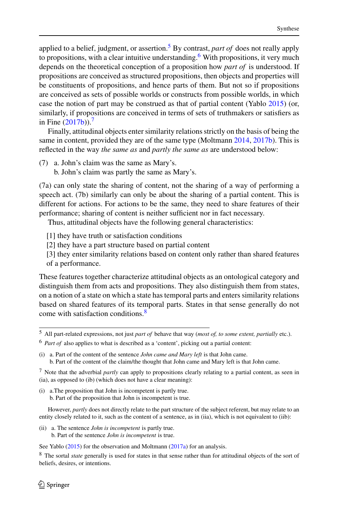applied to a belief, judgment, or assertion[.5](#page-5-0) By contrast, *part of* does not really apply to propositions, with a clear intuitive understanding.<sup>[6](#page-5-1)</sup> With propositions, it very much depends on the theoretical conception of a proposition how *part of* is understood. If propositions are conceived as structured propositions, then objects and properties will be constituents of propositions, and hence parts of them. But not so if propositions are conceived as sets of possible worlds or constructs from possible worlds, in which case the notion of part may be construed as that of partial content (Yablo [2015\)](#page-27-16) (or, similarly, if propositions are conceived in terms of sets of truthmakers or satisfiers as in Fine  $(2017b)$ .<sup>[7](#page-5-2)</sup>

Finally, attitudinal objects enter similarity relations strictly on the basis of being the same in content, provided they are of the same type (Moltmann [2014,](#page-27-13) [2017b\)](#page-27-6). This is reflected in the way *the same as* and *partly the same as* are understood below:

- (7) a. John's claim was the same as Mary's.
	- b. John's claim was partly the same as Mary's.

(7a) can only state the sharing of content, not the sharing of a way of performing a speech act. (7b) similarly can only be about the sharing of a partial content. This is different for actions. For actions to be the same, they need to share features of their performance; sharing of content is neither sufficient nor in fact necessary.

Thus, attitudinal objects have the following general characteristics:

[1] they have truth or satisfaction conditions

[2] they have a part structure based on partial content

[3] they enter similarity relations based on content only rather than shared features of a performance.

These features together characterize attitudinal objects as an ontological category and distinguish them from acts and propositions. They also distinguish them from states, on a notion of a state on which a state has temporal parts and enters similarity relations based on shared features of its temporal parts. States in that sense generally do not come with satisfaction conditions.<sup>[8](#page-5-3)</sup>

(i) a.The proposition that John is incompetent is partly true. b. Part of the proposition that John is incompetent is true.

However, *partly* does not directly relate to the part structure of the subject referent, but may relate to an entity closely related to it, such as the content of a sentence, as in (iia), which is not equivalent to (iib):

(ii) a. The sentence *John is incompetent* is partly true. b. Part of the sentence *John is incompetent* is true.

See Yablo [\(2015\)](#page-27-16) for the observation and Moltmann [\(2017a\)](#page-27-17) for an analysis.

<span id="page-5-3"></span><sup>8</sup> The sortal *state* generally is used for states in that sense rather than for attitudinal objects of the sort of beliefs, desires, or intentions.

<span id="page-5-0"></span><sup>5</sup> All part-related expressions, not just *part of* behave that way (*most of, to some extent, partially* etc.).

<span id="page-5-1"></span><sup>6</sup> *Part of* also applies to what is described as a 'content', picking out a partial content:

<sup>(</sup>i) a. Part of the content of the sentence *John came and Mary left* is that John came. b. Part of the content of the claim/the thought that John came and Mary left is that John came.

<span id="page-5-2"></span><sup>7</sup> Note that the adverbial *partly* can apply to propositions clearly relating to a partial content, as seen in (ia), as opposed to (ib) (which does not have a clear meaning):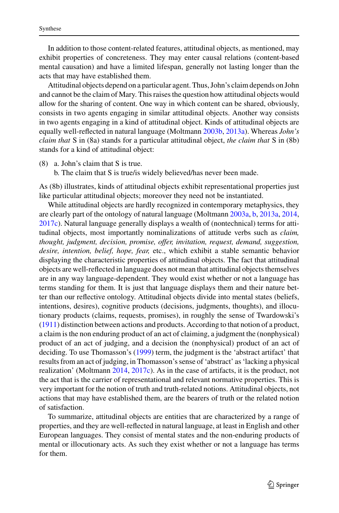In addition to those content-related features, attitudinal objects, as mentioned, may exhibit properties of concreteness. They may enter causal relations (content-based mental causation) and have a limited lifespan, generally not lasting longer than the acts that may have established them.

Attitudinal objects depend on a particular agent. Thus, John's claim depends on John and cannot be the claim of Mary. This raises the question how attitudinal objects would allow for the sharing of content. One way in which content can be shared, obviously, consists in two agents engaging in similar attitudinal objects. Another way consists in two agents engaging in a kind of attitudinal object. Kinds of attitudinal objects are equally well-reflected in natural language (Moltmann [2003b,](#page-27-11) [2013a\)](#page-27-10). Whereas *John's claim that* S in (8a) stands for a particular attitudinal object, *the claim that* S in (8b) stands for a kind of attitudinal object:

- (8) a. John's claim that S is true.
	- b. The claim that S is true/is widely believed/has never been made.

As (8b) illustrates, kinds of attitudinal objects exhibit representational properties just like particular attitudinal objects; moreover they need not be instantiated.

While attitudinal objects are hardly recognized in contemporary metaphysics, they are clearly part of the ontology of natural language (Moltmann [2003a,](#page-27-10) [b,](#page-27-11) [2013a,](#page-27-10) [2014,](#page-27-13) [2017c\)](#page-27-14). Natural language generally displays a wealth of (nontechnical) terms for attitudinal objects, most importantly nominalizations of attitude verbs such as *claim, thought, judgment, decision, promise, offer, invitation, request, demand, suggestion, desire, intention, belief, hope, fear,* etc., which exhibit a stable semantic behavior displaying the characteristic properties of attitudinal objects. The fact that attitudinal objects are well-reflected in language does not mean that attitudinal objects themselves are in any way language-dependent. They would exist whether or not a language has terms standing for them. It is just that language displays them and their nature better than our reflective ontology. Attitudinal objects divide into mental states (beliefs, intentions, desires), cognitive products (decisions, judgments, thoughts), and illocutionary products (claims, requests, promises), in roughly the sense of Twardowski's [\(1911\)](#page-27-5) distinction between actions and products. According to that notion of a product, a claim is the non enduring product of an act of claiming, a judgment the (nonphysical) product of an act of judging, and a decision the (nonphysical) product of an act of deciding. To use Thomasson's [\(1999\)](#page-27-18) term, the judgment is the 'abstract artifact' that results from an act of judging, in Thomasson's sense of 'abstract' as 'lacking a physical realization' (Moltmann [2014,](#page-27-13) [2017c\)](#page-27-14). As in the case of artifacts, it is the product, not the act that is the carrier of representational and relevant normative properties. This is very important for the notion of truth and truth-related notions. Attitudinal objects, not actions that may have established them, are the bearers of truth or the related notion of satisfaction.

To summarize, attitudinal objects are entities that are characterized by a range of properties, and they are well-reflected in natural language, at least in English and other European languages. They consist of mental states and the non-enduring products of mental or illocutionary acts. As such they exist whether or not a language has terms for them.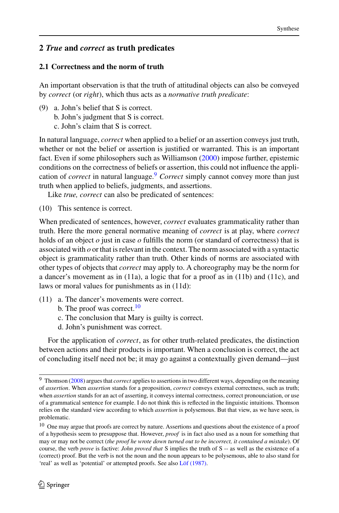# **2** *True* **and** *correct* **as truth predicates**

# **2.1 Correctness and the norm of truth**

An important observation is that the truth of attitudinal objects can also be conveyed by *correct* (or *right*), which thus acts as a *normative truth predicate*:

(9) a. John's belief that S is correct. b. John's judgment that S is correct. c. John's claim that S is correct.

In natural language, *correct* when applied to a belief or an assertion conveys just truth, whether or not the belief or assertion is justified or warranted. This is an important fact. Even if some philosophers such as Williamson [\(2000\)](#page-27-19) impose further, epistemic conditions on the correctness of beliefs or assertion, this could not influence the application of *correct* in natural language[.9](#page-7-0) *Correct* simply cannot convey more than just truth when applied to beliefs, judgments, and assertions.

Like *true, correct* can also be predicated of sentences:

(10) This sentence is correct.

When predicated of sentences, however, *correct* evaluates grammaticality rather than truth. Here the more general normative meaning of *correct* is at play, where *correct* holds of an object *o* just in case *o* fulfills the norm (or standard of correctness) that is associated with *o* or that is relevant in the context. The norm associated with a syntactic object is grammaticality rather than truth. Other kinds of norms are associated with other types of objects that *correct* may apply to. A choreography may be the norm for a dancer's movement as in (11a), a logic that for a proof as in (11b) and (11c), and laws or moral values for punishments as in (11d):

- (11) a. The dancer's movements were correct.
	- b. The proof was correct. $10$
	- c. The conclusion that Mary is guilty is correct.
	- d. John's punishment was correct.

For the application of *correct*, as for other truth-related predicates, the distinction between actions and their products is important. When a conclusion is correct, the act of concluding itself need not be; it may go against a contextually given demand—just

<span id="page-7-0"></span><sup>9</sup> Thomson [\(2008\)](#page-27-9) argues that *correct* applies to assertions in two different ways, depending on the meaning of *assertion*. When *assertion* stands for a proposition, *correct* conveys external correctness, such as truth; when *assertion* stands for an act of asserting, it conveys internal correctness, correct pronounciation, or use of a grammatical sentence for example. I do not think this is reflected in the linguistic intuitions. Thomson relies on the standard view according to which *assertion* is polysemous. But that view, as we have seen, is problematic.

<span id="page-7-1"></span><sup>&</sup>lt;sup>10</sup> One may argue that proofs are correct by nature. Assertions and questions about the existence of a proof of a hypothesis seem to presuppose that. However, *proof* is in fact also used as a noun for something that may or may not be correct (*the proof he wrote down turned out to be incorrect, it contained a mistake*). Of course, the verb *prove* is factive: *John proved that* S implies the truth of S -- as well as the existence of a (correct) proof. But the verb is not the noun and the noun appears to be polysemous, able to also stand for 'real' as well as 'potential' or attempted proofs. See also [Löf \(1987\).](#page-27-11)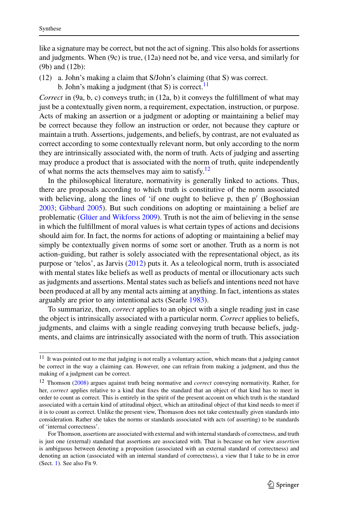like a signature may be correct, but not the act of signing. This also holds for assertions and judgments. When (9c) is true, (12a) need not be, and vice versa, and similarly for (9b) and (12b):

- (12) a. John's making a claim that S/John's claiming (that S) was correct.
	- b. John's making a judgment (that S) is correct. $<sup>11</sup>$  $<sup>11</sup>$  $<sup>11</sup>$ </sup>

*Correct* in (9a, b, c) conveys truth; in (12a, b) it conveys the fulfillment of what may just be a contextually given norm, a requirement, expectation, instruction, or purpose. Acts of making an assertion or a judgment or adopting or maintaining a belief may be correct because they follow an instruction or order, not because they capture or maintain a truth. Assertions, judgements, and beliefs, by contrast, are not evaluated as correct according to some contextually relevant norm, but only according to the norm they are intrinsically associated with, the norm of truth. Acts of judging and asserting may produce a product that is associated with the norm of truth, quite independently of what norms the acts themselves may aim to satisfy.<sup>12</sup>

In the philosophical literature, normativity is generally linked to actions. Thus, there are proposals according to which truth is constitutive of the norm associated with believing, along the lines of 'if one ought to believe  $p$ , then  $p'$  (Boghossian [2003;](#page-26-2) [Gibbard 2005\)](#page-26-3). But such conditions on adopting or maintaining a belief are problematic [\(Glüer and Wikforss 2009\)](#page-26-4). Truth is not the aim of believing in the sense in which the fulfillment of moral values is what certain types of actions and decisions should aim for. In fact, the norms for actions of adopting or maintaining a belief may simply be contextually given norms of some sort or another. Truth as a norm is not action-guiding, but rather is solely associated with the representational object, as its purpose or 'telos', as Jarvis [\(2012\)](#page-27-7) puts it. As a teleological norm, truth is associated with mental states like beliefs as well as products of mental or illocutionary acts such as judgments and assertions. Mental states such as beliefs and intentions need not have been produced at all by any mental acts aiming at anything. In fact, intentions as states arguably are prior to any intentional acts (Searle [1983\)](#page-27-20).

To summarize, then, *correct* applies to an object with a single reading just in case the object is intrinsically associated with a particular norm. *Correct* applies to beliefs, judgments, and claims with a single reading conveying truth because beliefs, judgments, and claims are intrinsically associated with the norm of truth. This association

<span id="page-8-0"></span> $11$  It was pointed out to me that judging is not really a voluntary action, which means that a judging cannot be correct in the way a claiming can. However, one can refrain from making a judgment, and thus the making of a judgment can be correct.

<span id="page-8-1"></span><sup>12</sup> Thomson [\(2008\)](#page-27-9) argues against truth being normative and *correct* conveying normativity. Rather, for her, *correct* applies relative to a kind that fixes the standard that an object of that kind has to meet in order to count as correct. This is entirely in the spirit of the present account on which truth is the standard associated with a certain kind of attitudinal object, which an attitudinal object of that kind needs to meet if it is to count as correct. Unlike the present view, Thomason does not take contextually given standards into consideration. Rather she takes the norms or standards associated with acts (of asserting) to be standards of 'internal correctness'.

For Thomson, assertions are associated with external and with internal standards of correctness, and truth is just one (external) standard that assertions are associated with. That is because on her view *assertion* is ambiguous between denoting a proposition (associated with an external standard of correctness) and denoting an action (associated with an internal standard of correctness), a view that I take to be in error (Sect. [1\)](#page-1-0). See also Fn 9.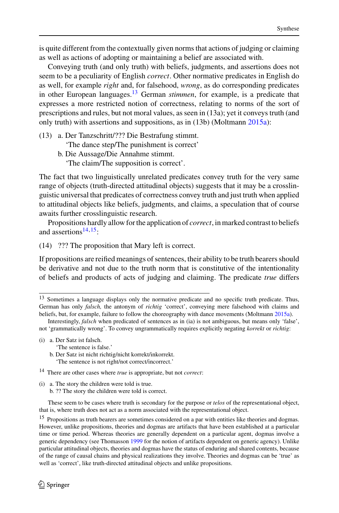is quite different from the contextually given norms that actions of judging or claiming as well as actions of adopting or maintaining a belief are associated with.

Conveying truth (and only truth) with beliefs, judgments, and assertions does not seem to be a peculiarity of English *correct*. Other normative predicates in English do as well, for example *right* and, for falsehood, *wrong*, as do corresponding predicates in other European languages[.13](#page-9-0) German *stimmen*, for example, is a predicate that expresses a more restricted notion of correctness, relating to norms of the sort of prescriptions and rules, but not moral values, as seen in (13a); yet it conveys truth (and only truth) with assertions and suppositions, as in (13b) (Moltmann [2015a\)](#page-27-21):

- (13) a. Der Tanzschritt/??? Die Bestrafung stimmt. 'The dance step/The punishment is correct'
	- b. Die Aussage/Die Annahme stimmt. 'The claim/The supposition is correct'.

The fact that two linguistically unrelated predicates convey truth for the very same range of objects (truth-directed attitudinal objects) suggests that it may be a crosslinguistic universal that predicates of correctness convey truth and just truth when applied to attitudinal objects like beliefs, judgments, and claims, a speculation that of course awaits further crosslinguistic research.

Propositions hardly allow for the application of *correct*, in marked contrast to beliefs and assertions $14,15$  $14,15$ .

(14) ??? The proposition that Mary left is correct.

If propositions are reified meanings of sentences, their ability to be truth bearers should be derivative and not due to the truth norm that is constitutive of the intentionality of beliefs and products of acts of judging and claiming. The predicate *true* differs

- (i) a. Der Satz ist falsch.
	- 'The sentence is false.'
	- b. Der Satz ist nicht richtig/nicht korrekt/inkorrekt. 'The sentence is not right/not correct/incorrect.'
- <span id="page-9-1"></span><sup>14</sup> There are other cases where *true* is appropriate, but not *correct*:
- (i) a. The story the children were told is true.

b. ?? The story the children were told is correct.

These seem to be cases where truth is secondary for the purpose or *telos* of the representational object, that is, where truth does not act as a norm associated with the representational object.

<span id="page-9-2"></span><sup>15</sup> Propositions as truth bearers are sometimes considered on a par with entities like theories and dogmas. However, unlike propositions, theories and dogmas are artifacts that have been established at a particular time or time period. Whereas theories are generally dependent on a particular agent, dogmas involve a generic dependency (see Thomasson [1999](#page-27-18) for the notion of artifacts dependent on generic agency). Unlike particular attitudinal objects, theories and dogmas have the status of enduring and shared contents, because of the range of causal chains and physical realizations they involve. Theories and dogmas can be 'true' as well as 'correct', like truth-directed attitudinal objects and unlike propositions.

<span id="page-9-0"></span><sup>&</sup>lt;sup>13</sup> Sometimes a language displays only the normative predicate and no specific truth predicate. Thus, German has only *falsch,* the antonym of *richtig* 'correct', conveying mere falsehood with claims and beliefs, but, for example, failure to follow the choreography with dance movements (Moltmann [2015a\)](#page-27-21).

Interestingly, *falsch* when predicated of sentences as in (ia) is not ambiguous, but means only 'false', not 'grammatically wrong'. To convey ungrammatically requires explicitly negating *korrekt* or *richtig*: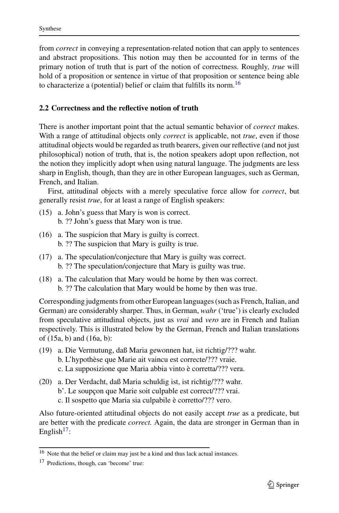from *correct* in conveying a representation-related notion that can apply to sentences and abstract propositions. This notion may then be accounted for in terms of the primary notion of truth that is part of the notion of correctness. Roughly*, true* will hold of a proposition or sentence in virtue of that proposition or sentence being able to characterize a (potential) belief or claim that fulfills its norm.[16](#page-10-0)

# **2.2 Correctness and the reflective notion of truth**

There is another important point that the actual semantic behavior of *correct* makes. With a range of attitudinal objects only *correct* is applicable, not *true*, even if those attitudinal objects would be regarded as truth bearers, given our reflective (and not just philosophical) notion of truth, that is, the notion speakers adopt upon reflection, not the notion they implicitly adopt when using natural language. The judgments are less sharp in English, though, than they are in other European languages, such as German, French, and Italian.

First, attitudinal objects with a merely speculative force allow for *correct*, but generally resist *true*, for at least a range of English speakers:

- (15) a. John's guess that Mary is won is correct. b. ?? John's guess that Mary won is true.
- (16) a. The suspicion that Mary is guilty is correct. b. ?? The suspicion that Mary is guilty is true.
- (17) a. The speculation/conjecture that Mary is guilty was correct. b. ?? The speculation/conjecture that Mary is guilty was true.
- (18) a. The calculation that Mary would be home by then was correct. b. ?? The calculation that Mary would be home by then was true.

Corresponding judgments from other European languages (such as French, Italian, and German) are considerably sharper. Thus, in German, *wahr* ('true') is clearly excluded from speculative attitudinal objects, just as *vrai* and *vero* are in French and Italian respectively. This is illustrated below by the German, French and Italian translations of (15a, b) and (16a, b):

- (19) a. Die Vermutung, daß Maria gewonnen hat, ist richtig/??? wahr. b. L'hypothèse que Marie ait vaincu est correcte/??? vraie. c. La supposizione que Maria abbia vinto è corretta/??? vera.
- (20) a. Der Verdacht, daß Maria schuldig ist, ist richtig/??? wahr. b'. Le soupçon que Marie soit culpable est correct/??? vrai. c. Il sospetto que Maria sia culpabile è corretto/??? vero.

Also future-oriented attitudinal objects do not easily accept *true* as a predicate, but are better with the predicate *correct.* Again, the data are stronger in German than in English<sup>17</sup>:

<span id="page-10-0"></span><sup>16</sup> Note that the belief or claim may just be a kind and thus lack actual instances.

<span id="page-10-1"></span><sup>17</sup> Predictions, though, can 'become' true: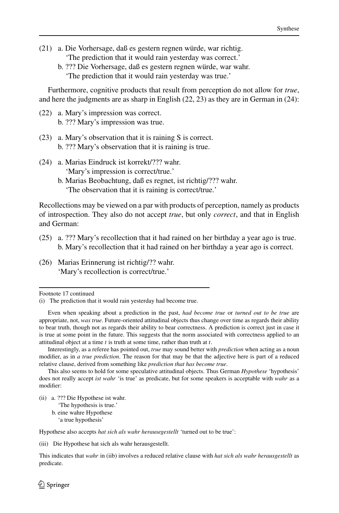- (21) a. Die Vorhersage, daß es gestern regnen würde, war richtig. 'The prediction that it would rain yesterday was correct.'
	- b. ??? Die Vorhersage, daß es gestern regnen würde, war wahr. 'The prediction that it would rain yesterday was true.'

Furthermore, cognitive products that result from perception do not allow for *true*, and here the judgments are as sharp in English (22, 23) as they are in German in (24):

- (22) a. Mary's impression was correct. b. ??? Mary's impression was true.
- (23) a. Mary's observation that it is raining S is correct. b. ??? Mary's observation that it is raining is true.
- (24) a. Marias Eindruck ist korrekt/??? wahr. 'Mary's impression is correct/true.'
	- b. Marias Beobachtung, daß es regnet, ist richtig/??? wahr. 'The observation that it is raining is correct/true.'

Recollections may be viewed on a par with products of perception, namely as products of introspection. They also do not accept *true*, but only *correct*, and that in English and German:

- (25) a. ??? Mary's recollection that it had rained on her birthday a year ago is true. b. Mary's recollection that it had rained on her birthday a year ago is correct.
- (26) Marias Erinnerung ist richtig/?? wahr. 'Mary's recollection is correct/true.'

Footnote 17 continued

(ii) a. ??? Die Hypothese ist wahr.

'The hypothesis is true.' b. eine wahre Hypothese

'a true hypothesis'

Hypothese also accepts *hat sich als wahr herausegestellt* 'turned out to be true':

(iii) Die Hypothese hat sich als wahr herausgestellt.

This indicates that *wahr* in (iib) involves a reduced relative clause with *hat sich als wahr herausgestellt* as predicate.

<sup>(</sup>i) The prediction that it would rain yesterday had become true.

Even when speaking about a prediction in the past, *had become true* or *turned out to be true* are appropriate, not, *was true*. Future-oriented attitudinal objects thus change over time as regards their ability to bear truth, though not as regards their ability to bear correctness. A prediction is correct just in case it is true at some point in the future. This suggests that the norm associated with correctness applied to an attitudinal object at a time *t* is truth at some time, rather than truth at *t*.

Interestingly, as a referee has pointed out, *true* may sound better with *prediction* when acting as a noun modifier, as in *a true prediction*. The reason for that may be that the adjective here is part of a reduced relative clause, derived from something like *prediction that has become true*.

This also seems to hold for some speculative attitudinal objects. Thus German *Hypothese* 'hypothesis' does not really accept *ist wahr* 'is true' as predicate, but for some speakers is acceptable with *wahr* as a modifier: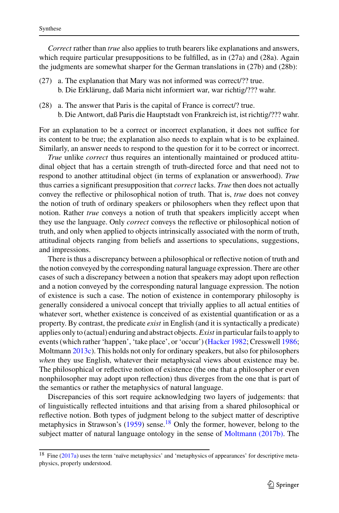*Correct* rather than *true* also applies to truth bearers like explanations and answers, which require particular presuppositions to be fulfilled, as in  $(27a)$  and  $(28a)$ . Again the judgments are somewhat sharper for the German translations in (27b) and (28b):

- (27) a. The explanation that Mary was not informed was correct/?? true. b. Die Erklärung, daß Maria nicht informiert war, war richtig/??? wahr.
- (28) a. The answer that Paris is the capital of France is correct/? true. b. Die Antwort, daß Paris die Hauptstadt von Frankreich ist, ist richtig/??? wahr.

For an explanation to be a correct or incorrect explanation, it does not suffice for its content to be true; the explanation also needs to explain what is to be explained. Similarly, an answer needs to respond to the question for it to be correct or incorrect.

*True* unlike *correct* thus requires an intentionally maintained or produced attitudinal object that has a certain strength of truth-directed force and that need not to respond to another attitudinal object (in terms of explanation or answerhood). *True* thus carries a significant presupposition that *correct* lacks. *True* then does not actually convey the reflective or philosophical notion of truth. That is, *true* does not convey the notion of truth of ordinary speakers or philosophers when they reflect upon that notion. Rather *true* conveys a notion of truth that speakers implicitly accept when they use the language. Only *correct* conveys the reflective or philosophical notion of truth, and only when applied to objects intrinsically associated with the norm of truth, attitudinal objects ranging from beliefs and assertions to speculations, suggestions, and impressions.

There is thus a discrepancy between a philosophical or reflective notion of truth and the notion conveyed by the corresponding natural language expression. There are other cases of such a discrepancy between a notion that speakers may adopt upon reflection and a notion conveyed by the corresponding natural language expression. The notion of existence is such a case. The notion of existence in contemporary philosophy is generally considered a univocal concept that trivially applies to all actual entities of whatever sort, whether existence is conceived of as existential quantification or as a property. By contrast, the predicate *exist* in English (and it is syntactically a predicate) applies only to (actual) enduring and abstract objects.*Exist* in particular fails to apply to events (which rather 'happen', 'take place', or 'occur') [\(Hacker 1982;](#page-27-22) Cresswell [1986;](#page-26-5) Moltmann [2013c\)](#page-27-12). This holds not only for ordinary speakers, but also for philosophers *when* they use English, whatever their metaphysical views about existence may be. The philosophical or reflective notion of existence (the one that a philosopher or even nonphilosopher may adopt upon reflection) thus diverges from the one that is part of the semantics or rather the metaphysics of natural language.

Discrepancies of this sort require acknowledging two layers of judgements: that of linguistically reflected intuitions and that arising from a shared philosophical or reflective notion. Both types of judgment belong to the subject matter of descriptive metaphysics in Strawson's  $(1959)$  sense.<sup>[18](#page-12-0)</sup> Only the former, however, belong to the subject matter of natural language ontology in the sense of [Moltmann \(2017b\).](#page-27-6) The

<span id="page-12-0"></span><sup>&</sup>lt;sup>18</sup> Fine [\(2017a\)](#page-26-6) uses the term 'naïve metaphysics' and 'metaphysics of appearances' for descriptive metaphysics, properly understood.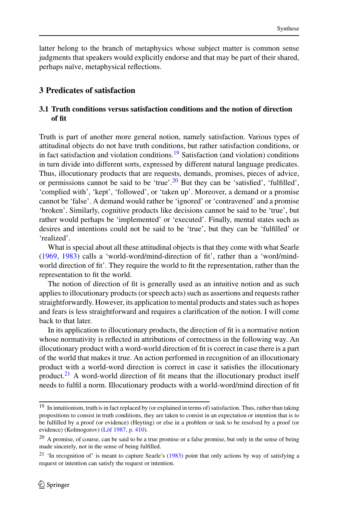latter belong to the branch of metaphysics whose subject matter is common sense judgments that speakers would explicitly endorse and that may be part of their shared, perhaps naïve, metaphysical reflections.

# <span id="page-13-0"></span>**3 Predicates of satisfaction**

## **3.1 Truth conditions versus satisfaction conditions and the notion of direction of fit**

Truth is part of another more general notion, namely satisfaction. Various types of attitudinal objects do not have truth conditions, but rather satisfaction conditions, or in fact satisfaction and violation conditions.<sup>19</sup> Satisfaction (and violation) conditions in turn divide into different sorts, expressed by different natural language predicates. Thus, illocutionary products that are requests, demands, promises, pieces of advice, or permissions cannot be said to be 'true'[.20](#page-13-2) But they can be 'satisfied', 'fulfilled', 'complied with', 'kept', 'followed', or 'taken up'. Moreover, a demand or a promise cannot be 'false'. A demand would rather be 'ignored' or 'contravened' and a promise 'broken'. Similarly, cognitive products like decisions cannot be said to be 'true', but rather would perhaps be 'implemented' or 'executed'. Finally, mental states such as desires and intentions could not be said to be 'true', but they can be 'fulfilled' or 'realized'.

What is special about all these attitudinal objects is that they come with what Searle [\(1969,](#page-27-24) [1983\)](#page-27-20) calls a 'world-word/mind-direction of fit', rather than a 'word/mindworld direction of fit'. They require the world to fit the representation, rather than the representation to fit the world.

The notion of direction of fit is generally used as an intuitive notion and as such applies to illocutionary products (or speech acts) such as assertions and requests rather straightforwardly. However, its application to mental products and states such as hopes and fears is less straightforward and requires a clarification of the notion. I will come back to that later.

In its application to illocutionary products, the direction of fit is a normative notion whose normativity is reflected in attributions of correctness in the following way. An illocutionary product with a word-world direction of fit is correct in case there is a part of the world that makes it true. An action performed in recognition of an illocutionary product with a world-word direction is correct in case it satisfies the illocutionary product.<sup>[21](#page-13-3)</sup> A word-world direction of fit means that the illocutionary product itself needs to fulfil a norm. Illocutionary products with a world-word/mind direction of fit

<span id="page-13-1"></span> $19$  In intuitionism, truth is in fact replaced by (or explained in terms of) satisfaction. Thus, rather than taking propositions to consist in truth conditions, they are taken to consist in an expectation or intention that is to be fulfilled by a proof (or evidence) (Heyting) or else in a problem or task to be resolved by a proof (or evidence) (Kolmogorov) [\(Löf 1987, p. 410\)](#page-27-11).

<span id="page-13-2"></span><sup>&</sup>lt;sup>20</sup> A promise, of course, can be said to be a true promise or a false promise, but only in the sense of being made sincerely, not in the sense of being fulfilled.

<span id="page-13-3"></span><sup>&</sup>lt;sup>21</sup> 'In recognition of' is meant to capture Searle's  $(1983)$  point that only actions by way of satisfying a request or intention can satisfy the request or intention.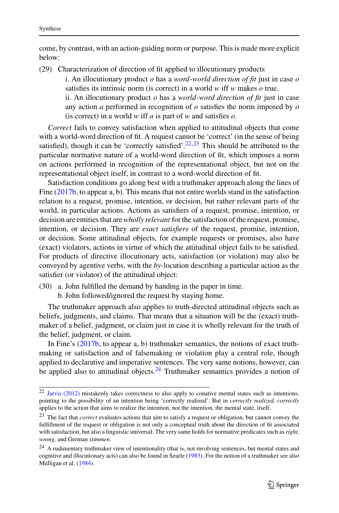come, by contrast, with an action-guiding norm or purpose. This is made more explicit below:

(29) Characterization of direction of fit applied to illocutionary products

i. An illocutionary product *o* has a *word*-*world direction of fit* just in case *o* satisfies its intrinsic norm (is correct) in a world *w* iff *w* makes *o* true.

ii. An illocutionary product *o* has a *world*-*word direction of fit* just in case any action *a* performed in recognition of *o* satisfies the norm imposed by *o* (is correct) in a world *w* iff *a* is part of *w* and satisfies *o*.

*Correct* fails to convey satisfaction when applied to attitudinal objects that come with a world-word direction of fit. A request cannot be 'correct' (in the sense of being satisfied), though it can be 'correctly satisfied'.<sup>[22,](#page-14-0)[23](#page-14-1)</sup> This should be attributed to the particular normative nature of a world-word direction of fit, which imposes a norm on actions performed in recognition of the representational object, but not on the representational object itself, in contrast to a word-world direction of fit.

Satisfaction conditions go along best with a truthmaker approach along the lines of Fine [\(2017b,](#page-26-0) to appear a, b). This means that not entire worlds stand in the satisfaction relation to a request, promise, intention, or decision, but rather relevant parts of the world, in particular actions. Actions as satisfiers of a request, promise, intention, or decision are entities that are*wholly relevant* for the satisfaction of the request, promise, intention, or decision. They are *exact satisfiers* of the request, promise, intention, or decision. Some attitudinal objects, for example requests or promises, also have (exact) violators, actions in virtue of which the attitudinal object fails to be satisfied. For products of directive illocutionary acts, satisfaction (or violation) may also be conveyed by agentive verbs, with the *by*-locution describing a particular action as the satisfier (or violator) of the attitudinal object:

(30) a. John fulfilled the demand by handing in the paper in time.

b. John followed/ignored the request by staying home.

The truthmaker approach also applies to truth-directed attitudinal objects such as beliefs, judgments, and claims. That means that a situation will be the (exact) truthmaker of a belief, judgment, or claim just in case it is wholly relevant for the truth of the belief, judgment, or claim.

In Fine's [\(2017b,](#page-26-0) to appear a, b) truthmaker semantics, the notions of exact truthmaking or satisfaction and of falsemaking or violation play a central role, though applied to declarative and imperative sentences. The very same notions, however, can be applied also to attitudinal objects.<sup>[24](#page-14-2)</sup> Truthmaker semantics provides a notion of

<span id="page-14-0"></span> $22$  [Jarvis \(2012\)](#page-27-7) mistakenly takes correctness to also apply to conative mental states such as intentions, pointing to the possibility of an intention being 'correctly realized'. But in *correctly realized, correctly* applies to the action that aims to realize the intention, not the intention, the mental state, itself.

<span id="page-14-1"></span><sup>23</sup> The fact that *correct* evaluates actions that aim to satisfy a request or obligation, but cannot convey the fulfillment of the request or obligation is not only a conceptual truth about the direction of fit associated with satisfaction, but also a linguistic universal. The very same holds for normative predicates such as *right, wrong,* and German *stimmen*.

<span id="page-14-2"></span><sup>&</sup>lt;sup>24</sup> A rudimentary truthmaker view of intentionality (that is, not involving sentences, but mental states and cognitive and illocutionary acts) can also be found in Searle [\(1983\)](#page-27-20). For the notion of a truthmaker see also Mulligan et al. [\(1984\)](#page-27-25).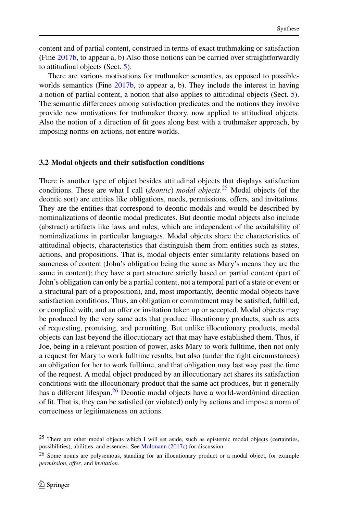content and of partial content, construed in terms of exact truthmaking or satisfaction (Fine [2017b,](#page-26-0) to appear a, b) Also those notions can be carried over straightforwardly to attitudinal objects (Sect. [5\)](#page-19-0).

There are various motivations for truthmaker semantics, as opposed to possible-worlds semantics (Fine [2017b,](#page-26-0) to appear a, b). They include the interest in having a notion of partial content, a notion that also applies to attitudinal objects (Sect. [5\)](#page-19-0). The semantic differences among satisfaction predicates and the notions they involve provide new motivations for truthmaker theory, now applied to attitudinal objects. Also the notion of a direction of fit goes along best with a truthmaker approach, by imposing norms on actions, not entire worlds.

#### **3.2 Modal objects and their satisfaction conditions**

There is another type of object besides attitudinal objects that displays satisfaction conditions. These are what I call (*deontic*) *modal objects*. [25](#page-15-0) Modal objects (of the deontic sort) are entities like obligations, needs, permissions, offers, and invitations. They are the entities that correspond to deontic modals and would be described by nominalizations of deontic modal predicates. But deontic modal objects also include (abstract) artifacts like laws and rules, which are independent of the availability of nominalizations in particular languages. Modal objects share the characteristics of attitudinal objects, characteristics that distinguish them from entities such as states, actions, and propositions. That is, modal objects enter similarity relations based on sameness of content (John's obligation being the same as Mary's means they are the same in content); they have a part structure strictly based on partial content (part of John's obligation can only be a partial content, not a temporal part of a state or event or a structural part of a proposition), and, most importantly, deontic modal objects have satisfaction conditions. Thus, an obligation or commitment may be satisfied, fulfilled, or complied with, and an offer or invitation taken up or accepted. Modal objects may be produced by the very same acts that produce illocutionary products, such as acts of requesting, promising, and permitting. But unlike illocutionary products, modal objects can last beyond the illocutionary act that may have established them. Thus, if Joe, being in a relevant position of power, asks Mary to work fulltime, then not only a request for Mary to work fulltime results, but also (under the right circumstances) an obligation for her to work fulltime, and that obligation may last way past the time of the request. A modal object produced by an illocutionary act shares its satisfaction conditions with the illocutionary product that the same act produces, but it generally has a different lifespan.<sup>26</sup> Deontic modal objects have a world-word/mind direction of fit. That is, they can be satisfied (or violated) only by actions and impose a norm of correctness or legitimateness on actions.

<span id="page-15-0"></span><sup>&</sup>lt;sup>25</sup> There are other modal objects which I will set aside, such as epistemic modal objects (certainties, possibilities), abilities, and essences. See [Moltmann \(2017c\)](#page-27-14) for discussion.

<span id="page-15-1"></span><sup>&</sup>lt;sup>26</sup> Some nouns are polysemous, standing for an illocutionary product or a modal object, for example *permission*, *offer*, and *invitation.*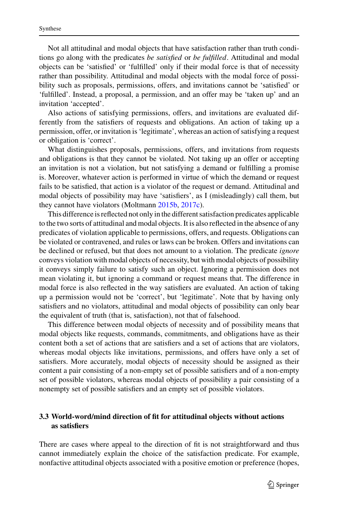Not all attitudinal and modal objects that have satisfaction rather than truth conditions go along with the predicates *be satisfied* or *be fulfilled*. Attitudinal and modal objects can be 'satisfied' or 'fulfilled' only if their modal force is that of necessity rather than possibility. Attitudinal and modal objects with the modal force of possibility such as proposals, permissions, offers, and invitations cannot be 'satisfied' or 'fulfilled'. Instead, a proposal, a permission, and an offer may be 'taken up' and an invitation 'accepted'.

Also actions of satisfying permissions, offers, and invitations are evaluated differently from the satisfiers of requests and obligations. An action of taking up a permission, offer, or invitation is 'legitimate', whereas an action of satisfying a request or obligation is 'correct'.

What distinguishes proposals, permissions, offers, and invitations from requests and obligations is that they cannot be violated. Not taking up an offer or accepting an invitation is not a violation, but not satisfying a demand or fulfilling a promise is. Moreover, whatever action is performed in virtue of which the demand or request fails to be satisfied, that action is a violator of the request or demand. Attitudinal and modal objects of possibility may have 'satisfiers', as I (misleadingly) call them, but they cannot have violators (Moltmann [2015b,](#page-27-26) [2017c\)](#page-27-14).

This difference is reflected not only in the different satisfaction predicates applicable to the two sorts of attitudinal and modal objects. It is also reflected in the absence of any predicates of violation applicable to permissions, offers, and requests. Obligations can be violated or contravened, and rules or laws can be broken. Offers and invitations can be declined or refused, but that does not amount to a violation. The predicate *ignore* conveys violation with modal objects of necessity, but with modal objects of possibility it conveys simply failure to satisfy such an object. Ignoring a permission does not mean violating it, but ignoring a command or request means that. The difference in modal force is also reflected in the way satisfiers are evaluated. An action of taking up a permission would not be 'correct', but 'legitimate'. Note that by having only satisfiers and no violators, attitudinal and modal objects of possibility can only bear the equivalent of truth (that is, satisfaction), not that of falsehood.

This difference between modal objects of necessity and of possibility means that modal objects like requests, commands, commitments, and obligations have as their content both a set of actions that are satisfiers and a set of actions that are violators, whereas modal objects like invitations, permissions, and offers have only a set of satisfiers. More accurately, modal objects of necessity should be assigned as their content a pair consisting of a non-empty set of possible satisfiers and of a non-empty set of possible violators, whereas modal objects of possibility a pair consisting of a nonempty set of possible satisfiers and an empty set of possible violators.

### **3.3 World-word/mind direction of fit for attitudinal objects without actions as satisfiers**

There are cases where appeal to the direction of fit is not straightforward and thus cannot immediately explain the choice of the satisfaction predicate. For example, nonfactive attitudinal objects associated with a positive emotion or preference (hopes,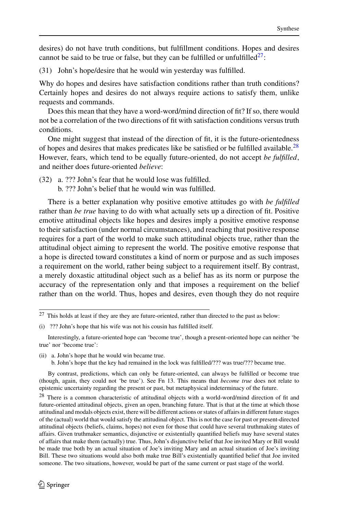desires) do not have truth conditions, but fulfillment conditions. Hopes and desires cannot be said to be true or false, but they can be fulfilled or unfulfilled<sup>27</sup>:

(31) John's hope/desire that he would win yesterday was fulfilled.

Why do hopes and desires have satisfaction conditions rather than truth conditions? Certainly hopes and desires do not always require actions to satisfy them, unlike requests and commands.

Does this mean that they have a word-word/mind direction of fit? If so, there would not be a correlation of the two directions of fit with satisfaction conditions versus truth conditions.

One might suggest that instead of the direction of fit, it is the future-orientedness of hopes and desires that makes predicates like be satisfied or be fulfilled available.<sup>[28](#page-17-1)</sup> However, fears, which tend to be equally future-oriented, do not accept *be fulfilled*, and neither does future-oriented *believe*:

(32) a. ??? John's fear that he would lose was fulfilled.

b. ??? John's belief that he would win was fulfilled.

There is a better explanation why positive emotive attitudes go with *be fulfilled* rather than *be true* having to do with what actually sets up a direction of fit. Positive emotive attitudinal objects like hopes and desires imply a positive emotive response to their satisfaction (under normal circumstances), and reaching that positive response requires for a part of the world to make such attitudinal objects true, rather than the attitudinal object aiming to represent the world. The positive emotive response that a hope is directed toward constitutes a kind of norm or purpose and as such imposes a requirement on the world, rather being subject to a requirement itself. By contrast, a merely doxastic attitudinal object such as a belief has as its norm or purpose the accuracy of the representation only and that imposes a requirement on the belief rather than on the world. Thus, hopes and desires, even though they do not require

(ii) a. John's hope that he would win became true.

b. John's hope that the key had remained in the lock was fulfilled/??? was true/??? became true.

By contrast, predictions, which can only be future-oriented, can always be fulfilled or become true (though, again, they could not 'be true'). See Fn 13. This means that *become true* does not relate to epistemic uncertainty regarding the present or past, but metaphysical indeterminacy of the future.

<span id="page-17-1"></span><sup>28</sup> There is a common characteristic of attitudinal objects with a world-word/mind direction of fit and future-oriented attitudinal objects, given an open, branching future. That is that at the time at which those attitudinal and modals objects exist, there will be different actions or states of affairs in different future stages of the (actual) world that would satisfy the attitudinal object. This is not the case for past or present-directed attitudinal objects (beliefs, claims, hopes) not even for those that could have several truthmaking states of affairs. Given truthmaker semantics, disjunctive or existentially quantified beliefs may have several states of affairs that make them (actually) true. Thus, John's disjunctive belief that Joe invited Mary or Bill would be made true both by an actual situation of Joe's inviting Mary and an actual situation of Joe's inviting Bill. These two situations would also both make true Bill's existentially quantified belief that Joe invited someone. The two situations, however, would be part of the same current or past stage of the world.

<span id="page-17-0"></span><sup>&</sup>lt;sup>27</sup> This holds at least if they are they are future-oriented, rather than directed to the past as below:

<sup>(</sup>i) ??? John's hope that his wife was not his cousin has fulfilled itself.

Interestingly, a future-oriented hope can 'become true', though a present-oriented hope can neither 'be true' nor 'become true':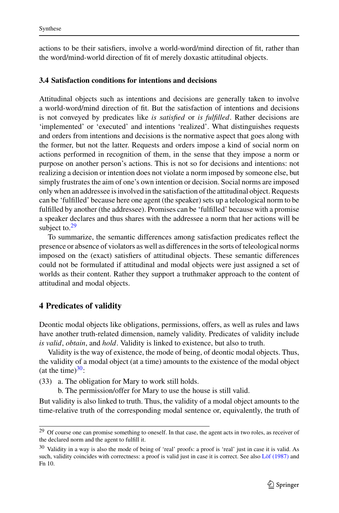actions to be their satisfiers, involve a world-word/mind direction of fit, rather than the word/mind-world direction of fit of merely doxastic attitudinal objects.

#### **3.4 Satisfaction conditions for intentions and decisions**

Attitudinal objects such as intentions and decisions are generally taken to involve a world-word/mind direction of fit. But the satisfaction of intentions and decisions is not conveyed by predicates like *is satisfied* or *is fulfilled*. Rather decisions are 'implemented' or 'executed' and intentions 'realized'. What distinguishes requests and orders from intentions and decisions is the normative aspect that goes along with the former, but not the latter. Requests and orders impose a kind of social norm on actions performed in recognition of them, in the sense that they impose a norm or purpose on another person's actions. This is not so for decisions and intentions: not realizing a decision or intention does not violate a norm imposed by someone else, but simply frustrates the aim of one's own intention or decision. Social norms are imposed only when an addressee is involved in the satisfaction of the attitudinal object. Requests can be 'fulfilled' because here one agent (the speaker) sets up a teleological norm to be fulfilled by another (the addressee). Promises can be 'fulfilled' because with a promise a speaker declares and thus shares with the addressee a norm that her actions will be subject to. $29$ 

To summarize, the semantic differences among satisfaction predicates reflect the presence or absence of violators as well as differences in the sorts of teleological norms imposed on the (exact) satisfiers of attitudinal objects. These semantic differences could not be formulated if attitudinal and modal objects were just assigned a set of worlds as their content. Rather they support a truthmaker approach to the content of attitudinal and modal objects.

## **4 Predicates of validity**

Deontic modal objects like obligations, permissions, offers, as well as rules and laws have another truth-related dimension, namely validity. Predicates of validity include *is valid*, *obtain*, and *hold*. Validity is linked to existence, but also to truth.

Validity is the way of existence, the mode of being, of deontic modal objects. Thus, the validity of a modal object (at a time) amounts to the existence of the modal object (at the time) $30$ :

(33) a. The obligation for Mary to work still holds.

b. The permission/offer for Mary to use the house is still valid.

But validity is also linked to truth. Thus, the validity of a modal object amounts to the time-relative truth of the corresponding modal sentence or, equivalently, the truth of

<span id="page-18-0"></span><sup>&</sup>lt;sup>29</sup> Of course one can promise something to oneself. In that case, the agent acts in two roles, as receiver of the declared norm and the agent to fulfill it.

<span id="page-18-1"></span> $30$  Validity in a way is also the mode of being of 'real' proofs: a proof is 'real' just in case it is valid. As such, validity coincides with correctness: a proof is valid just in case it is correct. See also [Löf \(1987\)](#page-27-11) and Fn 10.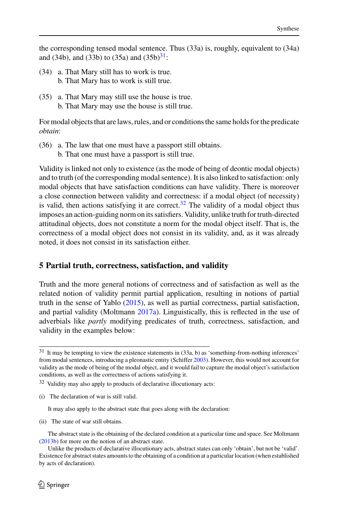the corresponding tensed modal sentence. Thus (33a) is, roughly, equivalent to (34a) and (34b), and (33b) to (35a) and  $(35b)^{31}$ :

- (34) a. That Mary still has to work is true. b. That Mary has to work is still true.
- (35) a. That Mary may still use the house is true. b. That Mary may use the house is still true.

For modal objects that are laws, rules, and or conditions the same holds for the predicate *obtain*:

- (36) a. The law that one must have a passport still obtains.
	- b. That one must have a passport is still true.

Validity is linked not only to existence (as the mode of being of deontic modal objects) and to truth (of the corresponding modal sentence). It is also linked to satisfaction: only modal objects that have satisfaction conditions can have validity. There is moreover a close connection between validity and correctness: if a modal object (of necessity) is valid, then actions satisfying it are correct.<sup>[32](#page-19-2)</sup> The validity of a modal object thus imposes an action-guiding norm on its satisfiers. Validity, unlike truth for truth-directed attitudinal objects, does not constitute a norm for the modal object itself. That is, the correctness of a modal object does not consist in its validity, and, as it was already noted, it does not consist in its satisfaction either.

## <span id="page-19-0"></span>**5 Partial truth, correctness, satisfaction, and validity**

Truth and the more general notions of correctness and of satisfaction as well as the related notion of validity permit partial application, resulting in notions of partial truth in the sense of Yablo [\(2015\)](#page-27-16), as well as partial correctness, partial satisfaction, and partial validity (Moltmann [2017a\)](#page-27-17). Linguistically, this is reflected in the use of adverbials like *partly* modifying predicates of truth, correctness, satisfaction, and validity in the examples below:

(i) The declaration of war is still valid.

It may also apply to the abstract state that goes along with the declaration:

(ii) The state of war still obtains.

The abstract state is the obtaining of the declared condition at a particular time and space. See Moltmann [\(2013b\)](#page-27-28) for more on the notion of an abstract state.

<span id="page-19-1"></span><sup>31</sup> It may be tempting to view the existence statements in (33a, b) as 'something-from-nothing inferences' from modal sentences, introducing a pleonastic entity (Schiffer [2003\)](#page-27-27). However, this would not account for validity as the mode of being of the modal object, and it would fail to capture the modal object's satisfaction conditions, as well as the correctness of actions satisfying it.

<span id="page-19-2"></span><sup>&</sup>lt;sup>32</sup> Validity may also apply to products of declarative illocutionary acts:

Unlike the products of declarative illocutionary acts, abstract states can only 'obtain', but not be 'valid'. Existence for abstract states amounts to the obtaining of a condition at a particular location (when established by acts of declaration).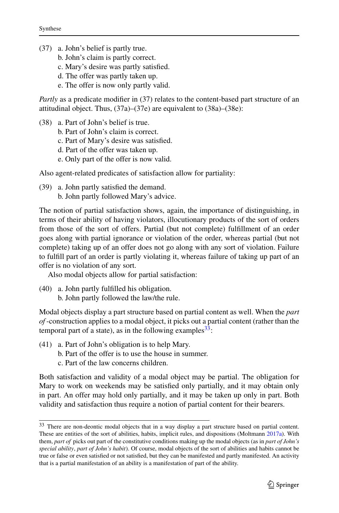- (37) a. John's belief is partly true.
	- b. John's claim is partly correct.
	- c. Mary's desire was partly satisfied.
	- d. The offer was partly taken up.
	- e. The offer is now only partly valid.

*Partly* as a predicate modifier in (37) relates to the content-based part structure of an attitudinal object. Thus, (37a)–(37e) are equivalent to (38a)–(38e):

- (38) a. Part of John's belief is true.
	- b. Part of John's claim is correct.
	- c. Part of Mary's desire was satisfied.
	- d. Part of the offer was taken up.
	- e. Only part of the offer is now valid.

Also agent-related predicates of satisfaction allow for partiality:

(39) a. John partly satisfied the demand. b. John partly followed Mary's advice.

The notion of partial satisfaction shows, again, the importance of distinguishing, in terms of their ability of having violators, illocutionary products of the sort of orders from those of the sort of offers. Partial (but not complete) fulfillment of an order goes along with partial ignorance or violation of the order, whereas partial (but not complete) taking up of an offer does not go along with any sort of violation. Failure to fulfill part of an order is partly violating it, whereas failure of taking up part of an offer is no violation of any sort.

Also modal objects allow for partial satisfaction:

(40) a. John partly fulfilled his obligation. b. John partly followed the law/the rule.

Modal objects display a part structure based on partial content as well. When the *part of* -construction applies to a modal object, it picks out a partial content (rather than the temporal part of a state), as in the following examples  $33$ :

- (41) a. Part of John's obligation is to help Mary.
	- b. Part of the offer is to use the house in summer.
	- c. Part of the law concerns children.

Both satisfaction and validity of a modal object may be partial. The obligation for Mary to work on weekends may be satisfied only partially, and it may obtain only in part. An offer may hold only partially, and it may be taken up only in part. Both validity and satisfaction thus require a notion of partial content for their bearers.

<span id="page-20-0"></span><sup>33</sup> There are non-deontic modal objects that in a way display a part structure based on partial content. These are entities of the sort of abilities, habits, implicit rules, and dispositions (Moltmann [2017a\)](#page-27-17). With them, *part of* picks out part of the constitutive conditions making up the modal objects (as in *part of John's special ability*, *part of John's habit*). Of course, modal objects of the sort of abilities and habits cannot be true or false or even satisfied or not satisfied, but they can be manifested and partly manifested. An activity that is a partial manifestation of an ability is a manifestation of part of the ability.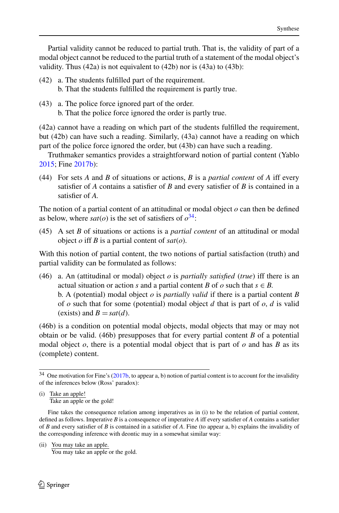Partial validity cannot be reduced to partial truth. That is, the validity of part of a modal object cannot be reduced to the partial truth of a statement of the modal object's validity. Thus  $(42a)$  is not equivalent to  $(42b)$  nor is  $(43a)$  to  $(43b)$ :

- (42) a. The students fulfilled part of the requirement. b. That the students fulfilled the requirement is partly true.
- (43) a. The police force ignored part of the order. b. That the police force ignored the order is partly true.

(42a) cannot have a reading on which part of the students fulfilled the requirement, but (42b) can have such a reading. Similarly, (43a) cannot have a reading on which part of the police force ignored the order, but (43b) can have such a reading.

Truthmaker semantics provides a straightforward notion of partial content (Yablo [2015;](#page-27-16) Fine [2017b\)](#page-26-0):

(44) For sets *A* and *B* of situations or actions, *B* is a *partial content* of *A* iff every satisfier of *A* contains a satisfier of *B* and every satisfier of *B* is contained in a satisfier of *A.*

The notion of a partial content of an attitudinal or modal object *o* can then be defined as below, where *sat*(*o*) is the set of satisfiers of  $o^{34}$ :

(45) A set *B* of situations or actions is a *partial content* of an attitudinal or modal object *o* iff *B* is a partial content of *sat*(*o*).

With this notion of partial content, the two notions of partial satisfaction (truth) and partial validity can be formulated as follows:

(46) a. An (attitudinal or modal) object *o* is *partially satisfied* (*true*) iff there is an actual situation or action *s* and a partial content *B* of  $o$  such that  $s \in B$ . b. A (potential) modal object *o* is *partially valid* if there is a partial content *B* of *o* such that for some (potential) modal object *d* that is part of *o*, *d* is valid (exists) and  $B = sat(d)$ .

(46b) is a condition on potential modal objects, modal objects that may or may not obtain or be valid. (46b) presupposes that for every partial content *B* of a potential modal object  $o$ , there is a potential modal object that is part of  $o$  and has  $B$  as its (complete) content.

(ii) You may take an apple. You may take an apple or the gold.

<span id="page-21-0"></span><sup>&</sup>lt;sup>34</sup> One motivation for Fine's [\(2017b,](#page-26-0) to appear a, b) notion of partial content is to account for the invalidity of the inferences below (Ross' paradox):

<sup>(</sup>i) Take an apple! Take an apple or the gold!

Fine takes the consequence relation among imperatives as in (i) to be the relation of partial content, defined as follows. Imperative *B* is a consequence of imperative *A* iff every satisfier of *A* contains a satisfier of *B* and every satisfier of *B* is contained in a satisfier of *A*. Fine (to appear a, b) explains the invalidity of the corresponding inference with deontic may in a somewhat similar way: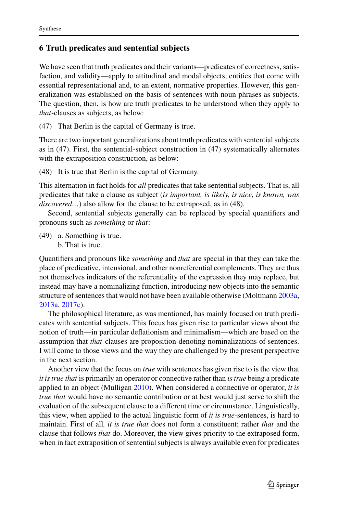# **6 Truth predicates and sentential subjects**

We have seen that truth predicates and their variants—predicates of correctness, satisfaction, and validity—apply to attitudinal and modal objects, entities that come with essential representational and, to an extent, normative properties. However, this generalization was established on the basis of sentences with noun phrases as subjects. The question, then, is how are truth predicates to be understood when they apply to *that*-clauses as subjects, as below:

(47) That Berlin is the capital of Germany is true.

There are two important generalizations about truth predicates with sentential subjects as in (47). First, the sentential-subject construction in (47) systematically alternates with the extraposition construction, as below:

(48) It is true that Berlin is the capital of Germany.

This alternation in fact holds for *all* predicates that take sentential subjects. That is, all predicates that take a clause as subject (*is important, is likely, is nice, is known, was discovered…*) also allow for the clause to be extraposed, as in (48).

Second, sentential subjects generally can be replaced by special quantifiers and pronouns such as *something* or *that*:

(49) a. Something is true.

b. That is true.

Quantifiers and pronouns like *something* and *that* are special in that they can take the place of predicative, intensional, and other nonreferential complements. They are thus not themselves indicators of the referentiality of the expression they may replace, but instead may have a nominalizing function, introducing new objects into the semantic structure of sentences that would not have been available otherwise (Moltmann [2003a,](#page-27-4) [2013a,](#page-27-10) [2017c\)](#page-27-14).

The philosophical literature, as was mentioned, has mainly focused on truth predicates with sentential subjects. This focus has given rise to particular views about the notion of truth—in particular deflationism and minimalism—which are based on the assumption that *that*-clauses are proposition-denoting nominalizations of sentences. I will come to those views and the way they are challenged by the present perspective in the next section.

Another view that the focus on *true* with sentences has given rise to is the view that *it is true that* is primarily an operator or connective rather than *is true* being a predicate applied to an object (Mulligan [2010\)](#page-27-0). When considered a connective or operator, *it is true that* would have no semantic contribution or at best would just serve to shift the evaluation of the subsequent clause to a different time or circumstance. Linguistically, this view, when applied to the actual linguistic form of *it is true*-sentences, is hard to maintain. First of all*, it is true that* does not form a constituent; rather *that* and the clause that follows *that* do. Moreover, the view gives priority to the extraposed form, when in fact extraposition of sentential subjects is always available even for predicates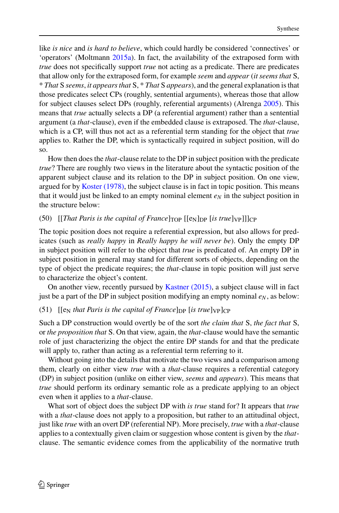like *is nice* and *is hard to believe*, which could hardly be considered 'connectives' or 'operators' (Moltmann [2015a\)](#page-27-21). In fact, the availability of the extraposed form with *true* does not specifically support *true* not acting as a predicate. There are predicates that allow only for the extraposed form, for example *seem* and *appear* (*it seems that* S, \* *That* S *seems*, *it appears that* S, \* *That* S *appears*), and the general explanation is that those predicates select CPs (roughly, sentential arguments), whereas those that allow for subject clauses select DPs (roughly, referential arguments) (Alrenga [2005\)](#page-26-7). This means that *true* actually selects a DP (a referential argument) rather than a sentential argument (a *that*-clause), even if the embedded clause is extraposed. The *that*-clause, which is a CP, will thus not act as a referential term standing for the object that *true* applies to. Rather the DP, which is syntactically required in subject position, will do so.

How then does the *that*-clause relate to the DP in subject position with the predicate *true*? There are roughly two views in the literature about the syntactic position of the apparent subject clause and its relation to the DP in subject position. On one view, argued for by [Koster \(1978\),](#page-27-29) the subject clause is in fact in topic position. This means that it would just be linked to an empty nominal element  $e_N$  in the subject position in the structure below:

#### (50)  $[[That Paris is the capital of France]$ <sub>rop</sub>  $[[e_N]_{DP} [is true]_{VP}]]]_{CP}$

The topic position does not require a referential expression, but also allows for predicates (such as *really happy* in *Really happy he will never be*). Only the empty DP in subject position will refer to the object that *true* is predicated of. An empty DP in subject position in general may stand for different sorts of objects, depending on the type of object the predicate requires; the *that*-clause in topic position will just serve to characterize the object's content.

On another view, recently pursued by [Kastner \(2015\),](#page-27-30) a subject clause will in fact just be a part of the DP in subject position modifying an empty nominal  $e_N$ , as below:

#### (51)  $[[e_N \text{ that Paris is the capital of } \text{France}]_{\text{DP}}$  [*is true*]<sub>VP</sub>]<sub>CP</sub>

Such a DP construction would overtly be of the sort *the claim that* S, *the fact that* S, or *the proposition that* S. On that view, again, the *that*-clause would have the semantic role of just characterizing the object the entire DP stands for and that the predicate will apply to, rather than acting as a referential term referring to it.

Without going into the details that motivate the two views and a comparison among them, clearly on either view *true* with a *that*-clause requires a referential category (DP) in subject position (unlike on either view, *seems* and *appears*). This means that *true* should perform its ordinary semantic role as a predicate applying to an object even when it applies to a *that*-clause.

What sort of object does the subject DP with *is true* stand for? It appears that *true* with a *that*-clause does not apply to a proposition, but rather to an attitudinal object, just like *true* with an overt DP (referential NP). More precisely, *true* with a *that*-clause applies to a contextually given claim or suggestion whose content is given by the *that*clause. The semantic evidence comes from the applicability of the normative truth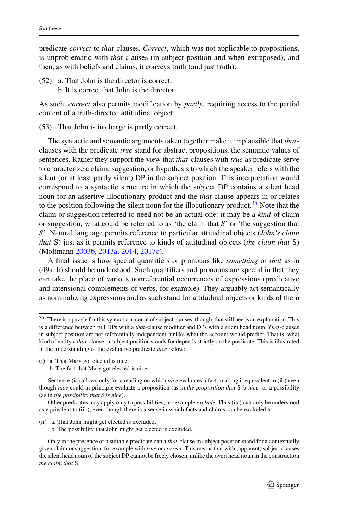predicate *correct* to *that*-clauses. *Correct*, which was not applicable to propositions, is unproblematic with *that*-clauses (in subject position and when extraposed), and then, as with beliefs and claims, it conveys truth (and just truth):

- (52) a. That John is the director is correct.
	- b. It is correct that John is the director.

As such, *correct* also permits modification by *partly*, requiring access to the partial content of a truth-directed attitudinal object:

(53) That John is in charge is partly correct.

The syntactic and semantic arguments taken together make it implausible that *that*clauses with the predicate *true* stand for abstract propositions, the semantic values of sentences. Rather they support the view that *that*-clauses with *true* as predicate serve to characterize a claim, suggestion, or hypothesis to which the speaker refers with the silent (or at least partly silent) DP in the subject position. This interpretation would correspond to a syntactic structure in which the subject DP contains a silent head noun for an assertive illocutionary product and the *that*-clause appears in or relates to the position following the silent noun for the illocutionary product.<sup>35</sup> Note that the claim or suggestion referred to need not be an actual one: it may be a *kind* of claim or suggestion, what could be referred to as 'the claim that *S*' or 'the suggestion that *S*'. Natural language permits reference to particular attitudinal objects (*John's claim that* S) just as it permits reference to kinds of attitudinal objects (*the claim that* S) (Moltmann [2003b,](#page-27-11) [2013a,](#page-27-10) [2014,](#page-27-13) [2017c\)](#page-27-14).

A final issue is how special quantifiers or pronouns like *something* or *that* as in (49a, b) should be understood. Such quantifiers and pronouns are special in that they can take the place of various nonreferential occurrences of expressions (predicative and intensional complements of verbs, for example). They arguably act semantically as nominalizing expressions and as such stand for attitudinal objects or kinds of them

- (i) a. That Mary got elected is nice.
	- b. The fact that Mary got elected is nice

Other predicates may apply only to possibilities, for example *exclude*. Thus (iia) can only be understood as equivalent to (iib), even though there is a sense in which facts and claims can be excluded too:

- (ii) a. That John might get elected is excluded.
	- b. The possibility that John might get elected is excluded.

<span id="page-24-0"></span><sup>35</sup> There is a puzzle for this syntactic account of subject clauses, though, that still needs an explanation. This is a difference between full DPs with a *that*-clause modifier and DPs with a silent head noun. *That-*clauses in subject position are not referentially independent, unlike what the account would predict. That is, what kind of entity a *that*-clause in subject position stands for depends strictly on the predicate. This is illustrated in the understanding of the evaluative predicate *nice* below:

Sentence (ia) allows only for a reading on which *nice* evaluates a fact, making it equivalent to (ib) even though *nice* could in principle evaluate a proposition (as in *the proposition that* S *is nice*) or a possibility (as in *the possibility that S is nice*).

Only in the presence of a suitable predicate can a *that*-clause in subject position stand for a contextually given claim or suggestion, for example with *true* or *correct*. This means that with (apparent) subject clauses the silent head noun of the subject DP cannot be freely chosen, unlike the overt head noun in the construction *the claim that* S.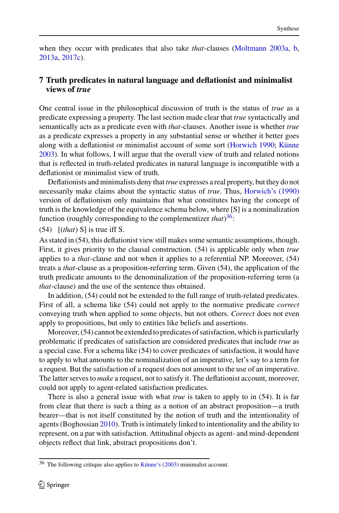when they occur with predicates that also take *that*-clauses [\(Moltmann 2003a,](#page-27-10) [b,](#page-27-11) [2013a,](#page-27-10) [2017c\)](#page-27-14).

# <span id="page-25-0"></span>**7 Truth predicates in natural language and deflationist and minimalist views of** *true*

One central issue in the philosophical discussion of truth is the status of *true* as a predicate expressing a property. The last section made clear that *true* syntactically and semantically acts as a predicate even with *that*-clauses. Another issue is whether *true* as a predicate expresses a property in any substantial sense or whether it better goes along with a deflationist or minimalist account of some sort [\(Horwich 1990;](#page-27-3) Künne [2003\). In what follows, I will argue that the overall view of truth and related notions](#page-27-4) that is reflected in truth-related predicates in natural language is incompatible with a deflationist or minimalist view of truth.

Deflationists and minimalists deny that *true* expresses a real property, but they do not necessarily make claims about the syntactic status of *true*. Thus, [Horwich's \(1990\)](#page-27-3) version of deflationism only maintains that what constitutes having the concept of truth is the knowledge of the equivalence schema below, where [S] is a nominalization function (roughly corresponding to the complementizer *that*) [36:](#page-25-1)

(54) [(*that*) S] is true iff S.

As stated in (54), this deflationist view still makes some semantic assumptions, though. First, it gives priority to the clausal construction. (54) is applicable only when *true* applies to a *that*-clause and not when it applies to a referential NP. Moreover, (54) treats a *that*-clause as a proposition-referring term. Given (54), the application of the truth predicate amounts to the denominalization of the proposition-referring term (a *that*-clause) and the use of the sentence thus obtained.

In addition, (54) could not be extended to the full range of truth-related predicates. First of all, a schema like (54) could not apply to the normative predicate *correct* conveying truth when applied to some objects, but not others. *Correct* does not even apply to propositions, but only to entities like beliefs and assertions.

Moreover, (54) cannot be extended to predicates of satisfaction, which is particularly problematic if predicates of satisfaction are considered predicates that include *true* as a special case. For a schema like (54) to cover predicates of satisfaction, it would have to apply to what amounts to the nominalization of an imperative, let's say to a term for a request. But the satisfaction of a request does not amount to the use of an imperative. The latter serves to *make* a request, not to satisfy it. The deflationist account, moreover, could not apply to agent-related satisfaction predicates.

There is also a general issue with what *true* is taken to apply to in (54). It is far from clear that there is such a thing as a notion of an abstract proposition—a truth bearer—that is not itself constituted by the notion of truth and the intentionality of agents (Boghossian [2010\)](#page-26-8). Truth is intimately linked to intentionality and the ability to represent, on a par with satisfaction. Attitudinal objects as agent- and mind-dependent objects reflect that link, abstract propositions don't.

<span id="page-25-1"></span><sup>36</sup> The following critique also applies to [Künne's \(2003\)](#page-27-4) minimalist account.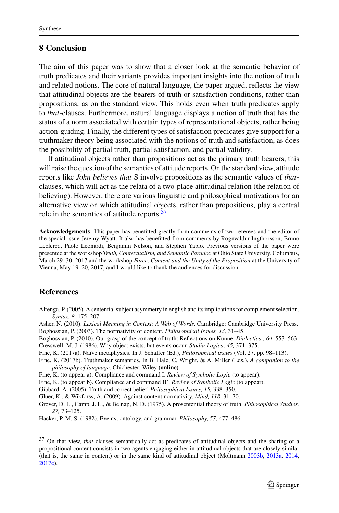# **8 Conclusion**

The aim of this paper was to show that a closer look at the semantic behavior of truth predicates and their variants provides important insights into the notion of truth and related notions. The core of natural language, the paper argued, reflects the view that attitudinal objects are the bearers of truth or satisfaction conditions, rather than propositions, as on the standard view. This holds even when truth predicates apply to *that*-clauses. Furthermore, natural language displays a notion of truth that has the status of a norm associated with certain types of representational objects, rather being action-guiding. Finally, the different types of satisfaction predicates give support for a truthmaker theory being associated with the notions of truth and satisfaction, as does the possibility of partial truth, partial satisfaction, and partial validity.

If attitudinal objects rather than propositions act as the primary truth bearers, this will raise the question of the semantics of attitude reports. On the standard view, attitude reports like *John believes that* S involve propositions as the semantic values of *that*clauses, which will act as the relata of a two-place attitudinal relation (the relation of believing). However, there are various linguistic and philosophical motivations for an alternative view on which attitudinal objects, rather than propositions, play a central role in the semantics of attitude reports.<sup>37</sup>

**Acknowledgements** This paper has benefitted greatly from comments of two referees and the editor of the special issue Jeremy Wyatt. It also has benefitted from comments by Rögnvaldur Ingthorsson, Bruno Leclercq, Paolo Leonardi, Benjamin Nelson, and Stephen Yablo. Previous versions of the paper were presented at the workshop *Truth, Contextualism, and Semantic Paradox* at Ohio State University, Columbus, March 29–30, 2017 and the workshop *Force, Content and the Unity of the Proposition* at the University of Vienna, May 19–20, 2017, and I would like to thank the audiences for discussion.

## **References**

<span id="page-26-7"></span>Alrenga, P. (2005). A sentential subject asymmetry in english and its implications for complement selection. *Syntax, 8,* 175–207.

<span id="page-26-1"></span>Asher, N. (2010). *Lexical Meaning in Context: A Web of Words*. Cambridge: Cambridge University Press. Boghossian, P. (2003). The normativity of content. *Philosophical Issues, 13,* 31–45.

<span id="page-26-8"></span><span id="page-26-2"></span>Boghossian, P. (2010). Our grasp of the concept of truth: Reflections on Künne. *Dialectica., 64,* 553–563. Cresswell, M. J. (1986). Why object exists, but events occur. *Studia Logica, 45,* 371–375.

- <span id="page-26-5"></span><span id="page-26-0"></span>Fine, K. (2017a). Naïve metaphysics. In J. Schaffer (Ed.), *Philosophical issues* (Vol. 27, pp. 98–113).
- <span id="page-26-6"></span>Fine, K. (2017b). Truthmaker semantics. In B. Hale, C. Wright, & A. Miller (Eds.), *A companion to the philosophy of language*. Chichester: Wiley **(online)**.
- Fine, K. (to appear a). Compliance and command I. *Review of Symbolic Logic* (to appear).

Fine, K. (to appear b). Compliance and command II'. *Review of Symbolic Logic* (to appear).

<span id="page-26-3"></span>Gibbard, A. (2005). Truth and correct belief. *Philosophical Issues, 15,* 338–350.

Glüer, K., & Wikforss, A. (2009). Against content normativity. *Mind, 118,* 31–70.

Grover, D. L., Camp, J. L., & Belnap, N. D. (1975). A prosentential theory of truth. *Philosophical Studies, 27,* 73–125.

<span id="page-26-4"></span>Hacker, P. M. S. (1982). Events, ontology, and grammar. *Philosophy, 57,* 477–486.

<span id="page-26-9"></span><sup>37</sup> On that view, *that*-clauses semantically act as predicates of attitudinal objects and the sharing of a propositional content consists in two agents engaging either in attitudinal objects that are closely similar (that is, the same in content) or in the same kind of attitudinal object (Moltmann [2003b,](#page-27-11) [2013a,](#page-27-10) [2014,](#page-27-13) [2017c\)](#page-27-6).